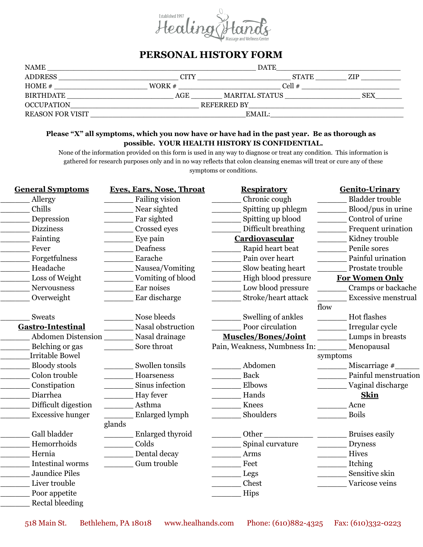

## **PERSONAL HISTORY FORM**

| <b>NAME</b>             | <b>DATE</b> |                    |              |            |  |
|-------------------------|-------------|--------------------|--------------|------------|--|
| <b>ADDRESS</b>          | <b>CITY</b> |                    | <b>STATE</b> | ZIP        |  |
| HOME $#$                | WORK $#$    | Cell $#$           |              |            |  |
| BIRTHDATE               | AGE         | MARITAL STATUS     |              | <b>SEX</b> |  |
| OCCUPATION              |             | <b>REFERRED BY</b> |              |            |  |
| <b>REASON FOR VISIT</b> | EMAIL:      |                    |              |            |  |

## **Please "X" all symptoms, which you now have or have had in the past year. Be as thorough as possible. YOUR HEALTH HISTORY IS CONFIDENTIAL.**

None of the information provided on this form is used in any way to diagnose or treat any condition. This information is gathered for research purposes only and in no way reflects that colon cleansing enemas will treat or cure any of these symptoms or conditions.

| <b>General Symptoms</b>  | <b>Eves, Ears, Nose, Throat</b>                                                              | <b>Respiratory</b>                                                                       | <b>Genito-Urinary</b>                                               |
|--------------------------|----------------------------------------------------------------------------------------------|------------------------------------------------------------------------------------------|---------------------------------------------------------------------|
| Allergy                  | Failing vision                                                                               | Chronic cough                                                                            | <b>Bladder trouble</b>                                              |
| Chills                   | Near sighted                                                                                 | Spitting up phlegm                                                                       | Blood/pus in urine                                                  |
| Depression               | Far sighted                                                                                  | Spitting up blood                                                                        | Control of urine                                                    |
| <b>Dizziness</b>         | Crossed eyes                                                                                 | Difficult breathing                                                                      | Frequent urination                                                  |
| Fainting                 | Eye pain                                                                                     | Cardiovascular                                                                           | Kidney trouble                                                      |
| Fever                    | Deafness                                                                                     | Rapid heart beat                                                                         | Penile sores                                                        |
| Forgetfulness            | Earache                                                                                      | Pain over heart                                                                          | Painful urination                                                   |
| Headache                 | Nausea/Vomiting                                                                              | Slow beating heart<br>$\mathcal{L}^{\text{max}}$ . The set of $\mathcal{L}^{\text{max}}$ | Prostate trouble                                                    |
| Loss of Weight           | Vomiting of blood                                                                            | High blood pressure<br>$\mathcal{L}^{\text{max}}_{\text{max}}$                           | <b>For Women Only</b>                                               |
| <b>Nervousness</b>       | Ear noises                                                                                   | Low blood pressure                                                                       | Cramps or backache<br>$\frac{1}{2}$ . The contract of $\frac{1}{2}$ |
| Overweight               | Ear discharge                                                                                | Stroke/heart attack                                                                      | <b>Excessive menstrual</b>                                          |
|                          |                                                                                              |                                                                                          | flow                                                                |
| Sweats                   | Nose bleeds                                                                                  | Swelling of ankles                                                                       | Hot flashes                                                         |
| <b>Gastro-Intestinal</b> | Nasal obstruction                                                                            | Poor circulation                                                                         | Irregular cycle                                                     |
| Abdomen Distension       | Nasal drainage                                                                               | <b>Muscles/Bones/Joint</b>                                                               | Lumps in breasts                                                    |
| Belching or gas          | Sore throat                                                                                  | Pain, Weakness, Numbness In: Menopausal                                                  |                                                                     |
| <b>Irritable Bowel</b>   |                                                                                              |                                                                                          | symptoms                                                            |
| <b>Bloody</b> stools     | Swollen tonsils                                                                              | Abdomen                                                                                  | Miscarriage #<br>$\overline{\phantom{a}}$                           |
| Colon trouble            | Hoarseness                                                                                   | <b>Back</b>                                                                              | Painful menstruation                                                |
| Constipation             | Sinus infection                                                                              | Elbows                                                                                   | Vaginal discharge                                                   |
| Diarrhea                 | Hay fever                                                                                    | Hands                                                                                    | <b>Skin</b>                                                         |
| Difficult digestion      | Asthma                                                                                       | Knees                                                                                    | Acne                                                                |
| <b>Excessive hunger</b>  | Enlarged lymph                                                                               | Shoulders                                                                                | <b>Boils</b>                                                        |
|                          | glands                                                                                       |                                                                                          |                                                                     |
| Gall bladder             | <b>Enlarged thyroid</b>                                                                      | Other                                                                                    | <b>Bruises easily</b>                                               |
| Hemorrhoids              | Colds<br>$\mathcal{L}^{\text{max}}_{\text{max}}$ and $\mathcal{L}^{\text{max}}_{\text{max}}$ | Spinal curvature                                                                         | <b>Dryness</b>                                                      |
| Hernia                   | <b>Example 1</b> Dental decay                                                                | Arms                                                                                     | Hives                                                               |
| <b>Intestinal worms</b>  | Gum trouble                                                                                  | Feet                                                                                     | Itching                                                             |
| <b>Jaundice Piles</b>    |                                                                                              | Legs                                                                                     | Sensitive skin                                                      |
| Liver trouble            |                                                                                              | Chest                                                                                    | Varicose veins                                                      |
| Poor appetite            |                                                                                              | Hips                                                                                     |                                                                     |
| Rectal bleeding          |                                                                                              |                                                                                          |                                                                     |